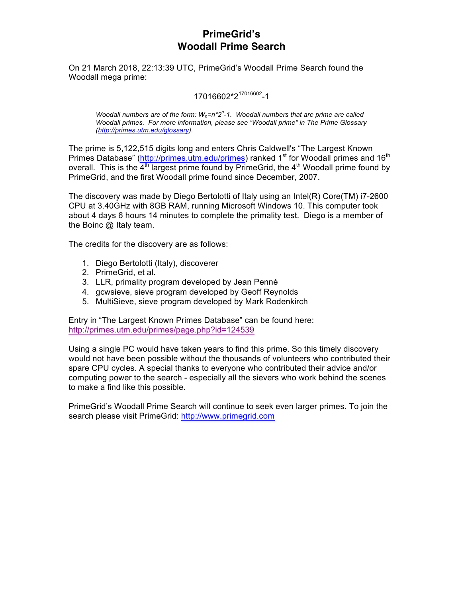# **PrimeGrid's Woodall Prime Search**

On 21 March 2018, 22:13:39 UTC, PrimeGrid's Woodall Prime Search found the Woodall mega prime:

### 17016602\*2<sup>17016602</sup> -1

*Woodall numbers are of the form: W<sub>n</sub>=n\*2<sup>n</sup>-1. Woodall numbers that are prime are called Woodall primes. For more information, please see "Woodall prime" in The Prime Glossary (http://primes.utm.edu/glossary).*

The prime is 5,122,515 digits long and enters Chris Caldwell's "The Largest Known Primes Database" (http://primes.utm.edu/primes) ranked 1<sup>st</sup> for Woodall primes and 16<sup>th</sup> overall. This is the  $4<sup>th</sup>$  largest prime found by PrimeGrid, the  $4<sup>th</sup>$  Woodall prime found by PrimeGrid, and the first Woodall prime found since December, 2007.

The discovery was made by Diego Bertolotti of Italy using an Intel(R) Core(TM) i7-2600 CPU at 3.40GHz with 8GB RAM, running Microsoft Windows 10. This computer took about 4 days 6 hours 14 minutes to complete the primality test. Diego is a member of the Boinc @ Italy team.

The credits for the discovery are as follows:

- 1. Diego Bertolotti (Italy), discoverer
- 2. PrimeGrid, et al.
- 3. LLR, primality program developed by Jean Penné
- 4. gcwsieve, sieve program developed by Geoff Reynolds
- 5. MultiSieve, sieve program developed by Mark Rodenkirch

Entry in "The Largest Known Primes Database" can be found here: http://primes.utm.edu/primes/page.php?id=124539

Using a single PC would have taken years to find this prime. So this timely discovery would not have been possible without the thousands of volunteers who contributed their spare CPU cycles. A special thanks to everyone who contributed their advice and/or computing power to the search - especially all the sievers who work behind the scenes to make a find like this possible.

PrimeGrid's Woodall Prime Search will continue to seek even larger primes. To join the search please visit PrimeGrid: http://www.primegrid.com